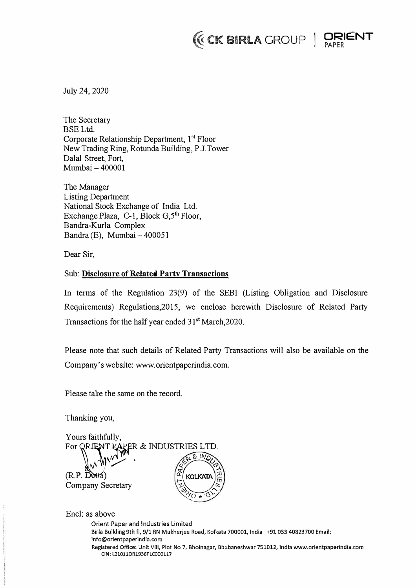# *(EX BIRLA GROUP* | ORIGAPER



July 24, 2020

The Secretary BSE Ltd. Corporate Relationship Department, 1<sup>st</sup> Floor New Trading Ring, Rotunda Building, P.J.Tower Dalal Street, Fort, Mumbai-400001

The Manager Listing Department National Stock Exchange of India Ltd. Exchange Plaza, C-1, Block G,5**th** Floor, Bandra-Kurla Complex Bandra (E), Mumbai- 400051

Dear Sir,

## Sub: **Disclosure of Related Party Transactions**

In terms of the Regulation 23(9) of the SEBI (Listing Obligation and Disclosure Requirements) Regulations,2015, we enclose herewith Disclosure of Related Party Transactions for the half year ended  $31<sup>st</sup> March,2020$ .

Please note that such details of Related Party Transactions will also be available on the Company's website: www.orientpaperindia.com.

Please take the same on the record.

Thanking you,

Yours faithfully, For ORIENT PACER & INDUSTRIES LTD. *1/* . **KOLKATA**  $\widetilde{\omega}'$  $(R.P.$  Dot **Company Secretary** 

Encl: as above

Orient Paper and Industries Limited Birla Building 9th fl, 9/1 RN Mukherjee Road, Kolkata 700001, India +91033 40823700 Email: **info@orientpaperindia.com Registered Office: Unit VIII, Plot No 7, Bhoinagar, Bhubaneshwar 751012, India www.orientpaperindia.com CIN: L210110R1936PLC000117**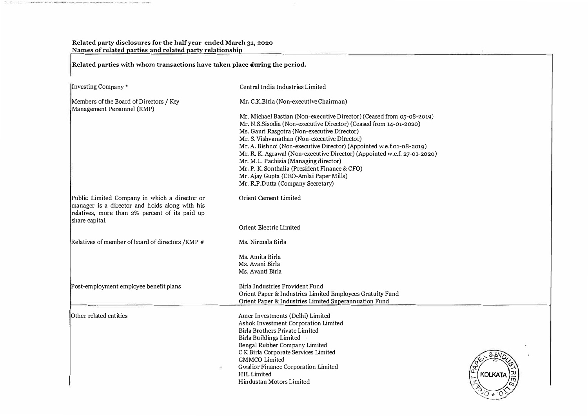**Related party disclosures for the half year ended March 31, 2020 Names of related parties and related party relationship** 

**Related parties with whom transactions have taken place during the period.** 

| Investing Company*                                                                                                                                                  | Central India Industries Limited                                                                                                                                                                                                                                                                                                                                                                                                                                                                                                                                                                                 |                                                               |
|---------------------------------------------------------------------------------------------------------------------------------------------------------------------|------------------------------------------------------------------------------------------------------------------------------------------------------------------------------------------------------------------------------------------------------------------------------------------------------------------------------------------------------------------------------------------------------------------------------------------------------------------------------------------------------------------------------------------------------------------------------------------------------------------|---------------------------------------------------------------|
| Members of the Board of Directors / Key<br>Management Personnel (KMP)                                                                                               | Mr. C.K.Birla (Non-executive Chairman)<br>Mr. Michael Bastian (Non-executive Director) (Ceased from 05-08-2019)<br>Mr. N.S.Sisodia (Non-executive Director) (Ceased from 14-01-2020)<br>Ms. Gauri Rasgotra (Non-executive Director)<br>Mr. S. Vishvanathan (Non-executive Director)<br>Mr. A. Bishnoi (Non-executive Director) (Appointed w.e.f.01-08-2019)<br>Mr. R. K. Agrawal (Non-executive Director) (Appointed w.e.f. 27-01-2020)<br>Mr. M.L. Pachisia (Managing director)<br>Mr. P. K. Sonthalia (President Finance & CFO)<br>Mr. Ajay Gupta (CEO-Amlai Paper Mills)<br>Mr. R.P.Dutta (Company Secretary) |                                                               |
| Public Limited Company in which a director or<br>manager is a director and holds along with his<br>relatives, more than 2% percent of its paid up<br>share capital. | <b>Orient Cement Limited</b>                                                                                                                                                                                                                                                                                                                                                                                                                                                                                                                                                                                     |                                                               |
|                                                                                                                                                                     | Orient Electric Limited                                                                                                                                                                                                                                                                                                                                                                                                                                                                                                                                                                                          |                                                               |
| Relatives of member of board of directors /KMP #                                                                                                                    | Ms. Nirmala Birla                                                                                                                                                                                                                                                                                                                                                                                                                                                                                                                                                                                                |                                                               |
|                                                                                                                                                                     | Ms. Amita Birla<br>Ms. Avani Birla<br>Ms. Avanti Birla                                                                                                                                                                                                                                                                                                                                                                                                                                                                                                                                                           |                                                               |
| Post-employment employee benefit plans                                                                                                                              | Birla Industries Provident Fund<br>Orient Paper & Industries Limited Employees Gratuity Fund<br>Orient Paper & Industries Limited Superannuation Fund                                                                                                                                                                                                                                                                                                                                                                                                                                                            |                                                               |
| Other related entities                                                                                                                                              | Amer Investments (Delhi) Limited<br>Ashok Investment Corporation Limited<br>Birla Brothers Private Limited<br>Birla Buildings Limited<br>Bengal Rubber Company Limited<br>C K Birla Corporate Services Limited<br>GMMCO Limited<br>Gwalior Finance Corporation Limited<br><b>HIL Limited</b><br>Hindustan Motors Limited                                                                                                                                                                                                                                                                                         | $\mathbb{E}$<br><b>KOLKATA</b><br>$\vdash$<br>$\sqrt[3]{O}$ * |

---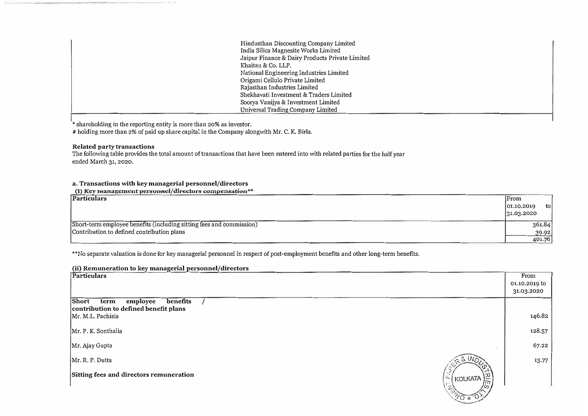| Hindusthan Discounting Company Limited          |
|-------------------------------------------------|
| India Silica Magnesite Works Limited            |
| Jaipur Finance & Dairy Products Private Limited |
| Khaitan & Co. LLP.                              |
| National Engineering Industries Limited         |
| Origami Cellulo Private Limited                 |
| Rajasthan Industries Limited                    |
| Shekhavati Investment & Traders Limited         |
| Soorya Vanijya & Investment Limited             |
| Universal Trading Company Limited               |

\* shareholding in the reporting entity is more than **20%** as investor.

# holding more than 2% of paid up share capital in the Company alongwith Mr. C. K. Birla.

### **Related party transactions**

The following table provides the total amount of transactions that have been entered into with related parties for the half year ended March 31, 2020.

### **a. Transactions with key managerial personnel/directors**

**\1} Rey management personnel/directors compensation** 

| Particulars                                                          | From                |
|----------------------------------------------------------------------|---------------------|
|                                                                      | tol<br>[01.10.2019] |
|                                                                      | 31.03.2020          |
| Short-term employee benefits (including sitting fees and commission) | 361.84              |
| Contribution to defined contribution plans                           | 30.92               |
|                                                                      | 401.76              |

\*\*No separate valuation is done for key managerial personnel in respect of post-employment benefits and other long-term benefits.

### **(ii) Remuneration to key managerial personnel/directors**

| Particulars                                                                    | From          |
|--------------------------------------------------------------------------------|---------------|
|                                                                                | 01.10.2019 to |
|                                                                                | 31.03.2020    |
| Short<br>benefits<br>employee<br>term<br>contribution to defined benefit plans |               |
| Mr. M.L. Pachisia                                                              | 146.82        |
| Mr. P. K. Sonthalia                                                            | 128.57        |
| Mr. Ajay Gupta                                                                 | 67.22         |
| $\approx 81NQ$<br>Mr. R. P. Dutta                                              | 13.77         |
| Sitting fees and directors remuneration<br>É,<br>[꼬<br>KOLKATA                 |               |
| <b>120 + 01</b>                                                                |               |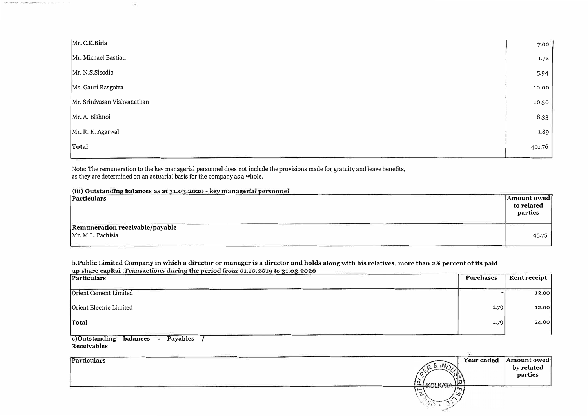| Mr. C.K.Birla               | 7.00   |
|-----------------------------|--------|
| Mr. Michael Bastian         | 1.72   |
| Mr. N.S.Sisodia             | 5.94   |
| Ms. Gauri Rasgotra          | 10.00  |
| Mr. Srinivasan Vishvanathan | 10.50  |
| Mr. A. Bishnoi              | 8.33   |
| Mr. R. K. Agarwal           | 1.89   |
| Total                       | 401.76 |

Note: The remuneration to the key managerial personnel does not include the provisions made for gratuity and leave benefits,<br>as they are determined on an actuarial basis for the company as a whole.

(iii) Outstanding balances as at 31.03.2020 - key managerial personnel

| Particulars                                                                   | Amount owed <br>to related<br>parties |
|-------------------------------------------------------------------------------|---------------------------------------|
| Remuneration receivable/payable<br>Mr. M.L. Pachisia<br>CHARLES HOW REPORT OF | 45.75                                 |

# b.Public Limited Company in which a director or manager is a director and holds along with his relatives, more than 2% percent of its paid<br>up share capital .Transactions during the period from 01.10.2019 to 31.03.2020

| Particulars             |      | Rent receipt |  |
|-------------------------|------|--------------|--|
| Orient Cement Limited   |      | 12.00        |  |
| Orient Electric Limited | 1.79 | 12.00        |  |
|                         | 1.79 | 24.00        |  |
| Total                   |      |              |  |

c)Outstanding balances - Payables /<br>Receivables

 $\langle \hat{\bullet} \rangle$ 

| Particulars |                                | Year ended | Amount owed |
|-------------|--------------------------------|------------|-------------|
|             | ΙN                             |            | by related  |
|             |                                |            | parties     |
|             | I/NI I/ATA                     |            |             |
|             | $\frac{1}{\sqrt{n}}$<br>$\sim$ |            |             |
|             | $\omega$                       |            |             |
|             |                                |            |             |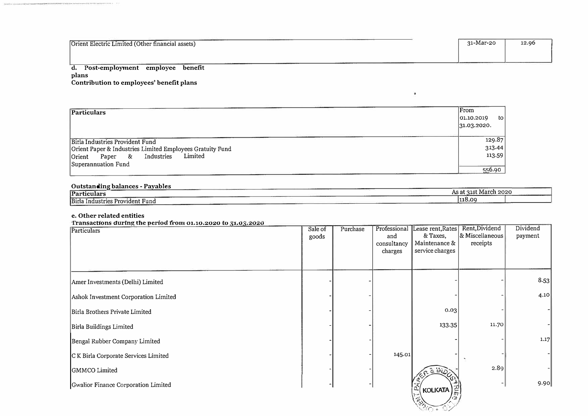Orient Electric Limited (Other financial assets)

| 31-Mar-20 | 12.96 |
|-----------|-------|
|           |       |
|           |       |

 $\mathbf{r}$ 

### d. Post-employment employee benefit plans Contribution to employees' benefit plans

| Particulars                                               | From               |
|-----------------------------------------------------------|--------------------|
|                                                           | [01.10.2019]<br>to |
|                                                           | 31.03.2020.        |
| Birla Industries Provident Fund                           | 129.87             |
| Orient Paper & Industries Limited Employees Gratuity Fund | 313.44             |
| Limited<br>Industries<br>&<br>Orient<br>Paper             | 113.59             |
| Superannuation Fund                                       |                    |
|                                                           | 556.90             |

### Outstanding balances - Payables

| Particulars                          | $ -$<br>March 2020<br>As at 31st ' |
|--------------------------------------|------------------------------------|
| Birla<br>. Industries Provident Fund | 118.09                             |

### e. Other related entities

| Transactions during the period from 01.10.2020 to 31.03.2020 |  |  |  |  |
|--------------------------------------------------------------|--|--|--|--|
|--------------------------------------------------------------|--|--|--|--|

| Particulars                          | Sale of<br>goods | Purchase | Professional<br>and<br>consultancy<br>charges | Lease rent, Rates<br>& Taxes,<br>Maintenance &<br>service charges | Rent, Dividend<br>& Miscellaneous<br>receipts | Dividend<br>payment |
|--------------------------------------|------------------|----------|-----------------------------------------------|-------------------------------------------------------------------|-----------------------------------------------|---------------------|
| Amer Investments (Delhi) Limited     |                  |          |                                               |                                                                   |                                               | 8.53                |
| Ashok Investment Corporation Limited |                  |          |                                               |                                                                   |                                               | 4.10                |
| Birla Brothers Private Limited       |                  |          |                                               | 0.03                                                              |                                               |                     |
| Birla Buildings Limited              |                  |          |                                               | 133.35                                                            | 11.70                                         |                     |
| Bengal Rubber Company Limited        |                  |          |                                               |                                                                   |                                               | 1.17                |
| C K Birla Corporate Services Limited |                  |          | 145.01                                        |                                                                   |                                               |                     |
| GMMCO Limited                        |                  |          |                                               | 8.1IV                                                             | 2.89                                          |                     |
| Gwalior Finance Corporation Limited  |                  |          |                                               | $\Omega$<br><b>KOLKATA</b>                                        |                                               | 9.90                |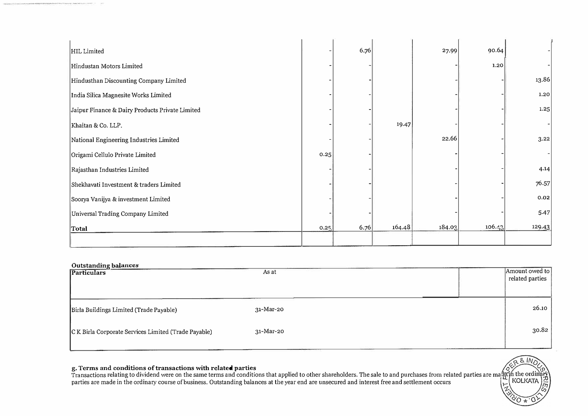| HIL Limited                                     |      | 6.76 |        | 27.99  | 90.64  |        |
|-------------------------------------------------|------|------|--------|--------|--------|--------|
| Hindustan Motors Limited                        |      |      |        |        | 1.20   |        |
| Hindusthan Discounting Company Limited          |      |      |        |        |        | 13.86  |
| India Silica Magnesite Works Limited            |      |      |        |        |        | 1.20   |
| Jaipur Finance & Dairy Products Private Limited |      |      |        |        |        | 1.25   |
| Khaitan & Co. LLP.                              |      |      | 19.47  |        |        |        |
| National Engineering Industries Limited         |      |      |        | 22.66  |        | 3.22   |
| Origami Cellulo Private Limited                 | 0.25 |      |        |        |        |        |
| Rajasthan Industries Limited                    |      |      |        |        |        | 4.14   |
| Shekhavati Investment & traders Limited         |      |      |        |        |        | 76.57  |
| Soorya Vanijya & investment Limited             |      |      |        |        |        | 0.02   |
| Universal Trading Company Limited               |      |      |        |        |        | 5.47   |
| Total                                           | 0.25 | 6.76 | 164.48 | 184.03 | 106.43 | 129.43 |
|                                                 |      |      |        |        |        |        |

| Outstanding balances<br>Particulars                  | As at     | Amount owed to<br>related parties |
|------------------------------------------------------|-----------|-----------------------------------|
|                                                      |           |                                   |
| Birla Buildings Limited (Trade Payable)              | 31-Mar-20 | 26.10                             |
| C K Birla Corporate Services Limited (Trade Payable) | 31-Mar-20 | 30.82                             |
|                                                      |           |                                   |

#### **g. Terms and conditions of transactions with related parties**

Transactions relating to dividend were on the same terms and conditions that applied to other shareholders. The sale to and purchases from related parties are ma parties are made in the ordinary course of business. Outstanding balances at the year end are unsecured and interest free and settlement occurs